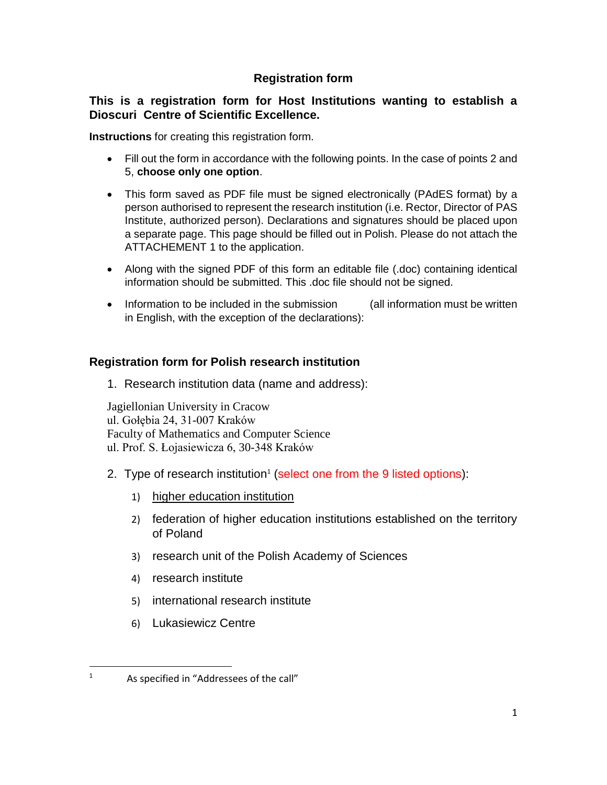## **Registration form**

## **This is a registration form for Host Institutions wanting to establish a Dioscuri Centre of Scientific Excellence.**

**Instructions** for creating this registration form.

- Fill out the form in accordance with the following points. In the case of points 2 and 5, **choose only one option**.
- This form saved as PDF file must be signed electronically (PAdES format) by a person authorised to represent the research institution (i.e. Rector, Director of PAS Institute, authorized person). Declarations and signatures should be placed upon a separate page. This page should be filled out in Polish. Please do not attach the ATTACHEMENT 1 to the application.
- Along with the signed PDF of this form an editable file (.doc) containing identical information should be submitted. This .doc file should not be signed.
- Information to be included in the submission (all information must be written in English, with the exception of the declarations):

# **Registration form for Polish research institution**

1. Research institution data (name and address):

Jagiellonian University in Cracow ul. Gołębia 24, 31-007 Kraków Faculty of Mathematics and Computer Science ul. Prof. S. Łojasiewicza 6, 30-348 Kraków

- 2. Type of research institution<sup>1</sup> (select one from the 9 listed options):
	- 1) higher education institution
	- 2) federation of higher education institutions established on the territory of Poland
	- 3) research unit of the Polish Academy of Sciences
	- 4) research institute
	- 5) international research institute
	- 6) Lukasiewicz Centre

 $\overline{\phantom{a}}$ 

 $1$  As specified in "Addressees of the call"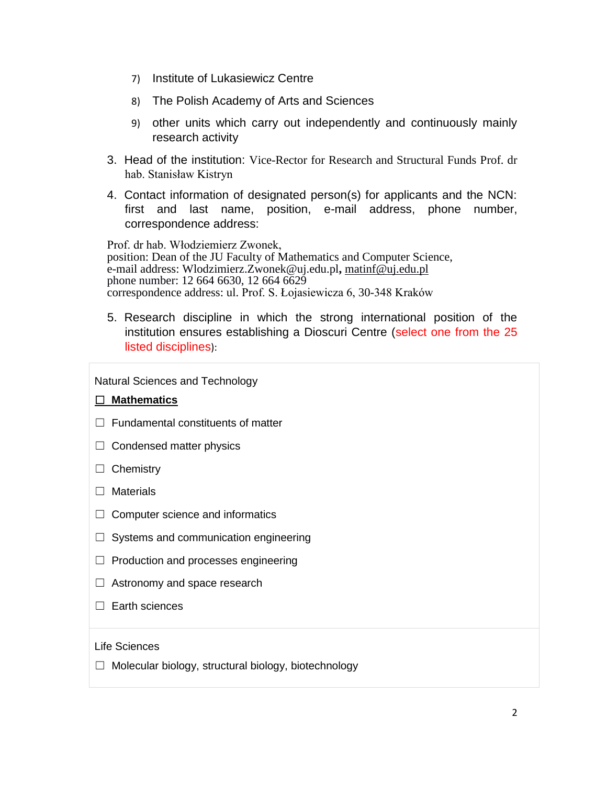- 7) Institute of Lukasiewicz Centre
- 8) The Polish Academy of Arts and Sciences
- 9) other units which carry out independently and continuously mainly research activity
- 3. Head of the institution: Vice-Rector for Research and Structural Funds Prof. dr hab. Stanisław Kistryn
- 4. Contact information of designated person(s) for applicants and the NCN: first and last name, position, e-mail address, phone number, correspondence address:

Prof. dr hab. Włodziemierz Zwonek, position: Dean of the JU Faculty of Mathematics and Computer Science, e-mail address: [Wlodzimierz.Zwonek@uj.edu.pl](mailto:Wlodzimierz.Zwonek@uj.edu.pl#_blank)**,** [matinf@uj.edu.pl](mailto:matinf@uj.edu.pl#_blank) phone number: 12 664 6630, 12 664 6629 correspondence address: ul. Prof. S. Łojasiewicza 6, 30-348 Kraków

5. Research discipline in which the strong international position of the institution ensures establishing a Dioscuri Centre (select one from the 25 listed disciplines):

Natural Sciences and Technology

### ☐ **Mathematics**

- $\Box$  Fundamental constituents of matter
- $\Box$  Condensed matter physics
- □ Chemistry
- □ Materials
- $\Box$  Computer science and informatics
- $\Box$  Systems and communication engineering
- ☐ Production and processes engineering
- $\Box$  Astronomy and space research
- □ Earth sciences

#### Life Sciences

 $\Box$  Molecular biology, structural biology, biotechnology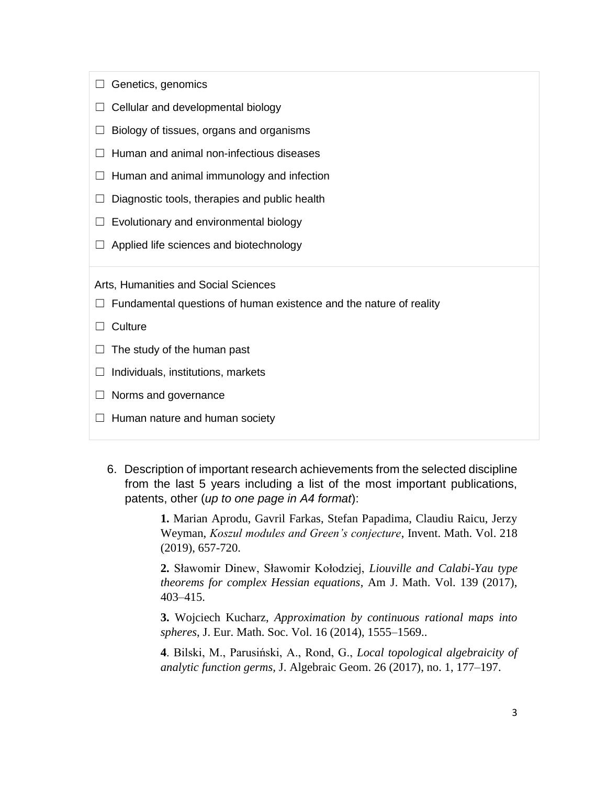- $\Box$  Genetics, genomics
- $\Box$  Cellular and developmental biology
- $\Box$  Biology of tissues, organs and organisms
- ☐ Human and animal non-infectious diseases
- $\Box$  Human and animal immunology and infection
- $\Box$  Diagnostic tools, therapies and public health
- $\Box$  Evolutionary and environmental biology
- $\Box$  Applied life sciences and biotechnology

Arts, Humanities and Social Sciences

- $\Box$  Fundamental questions of human existence and the nature of reality
- ☐ Culture
- $\Box$  The study of the human past
- $\Box$  Individuals, institutions, markets
- $\Box$  Norms and governance
- $\Box$  Human nature and human society
	- 6. Description of important research achievements from the selected discipline from the last 5 years including a list of the most important publications, patents, other (*up to one page in A4 format*):

**1.** Marian Aprodu, Gavril Farkas, Stefan Papadima, Claudiu Raicu, Jerzy Weyman, *Koszul modules and Green's conjecture*, Invent. Math. Vol. 218 (2019), 657-720.

**2.** Sławomir Dinew, Sławomir Kołodziej, *Liouville and Calabi-Yau type theorems for complex Hessian equations*, Am J. Math. Vol. 139 (2017), 403–415.

**3.** Wojciech Kucharz, *Approximation by continuous rational maps into spheres*, J. Eur. Math. Soc. Vol. 16 (2014), 1555–1569..

**4**. Bilski, M., Parusiński, A., Rond, G., *Local topological algebraicity of analytic function germs,* J. Algebraic Geom. 26 (2017), no. 1, 177–197.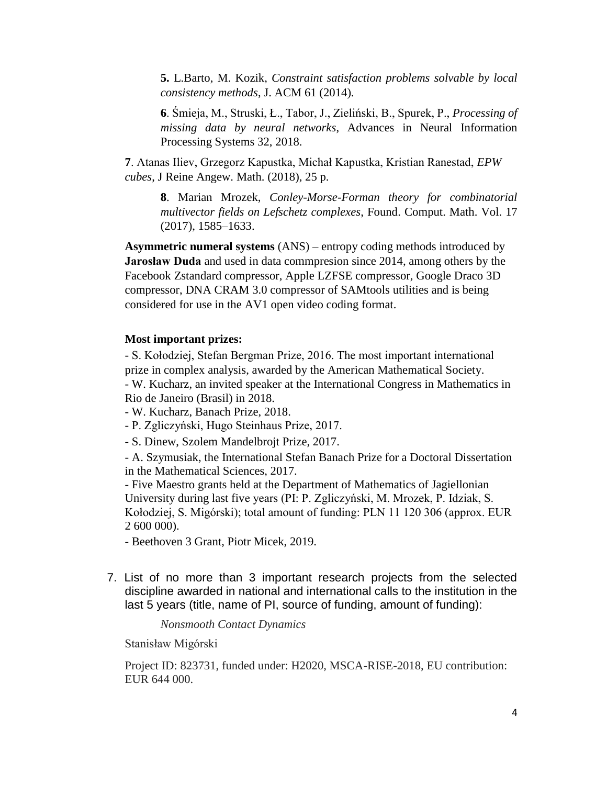**5.** L.Barto, M. Kozik, *Constraint satisfaction problems solvable by local consistency methods*, J. ACM 61 (2014).

**6**. Śmieja, M., Struski, Ł., Tabor, J., Zieliński, B., Spurek, P., *Processing of missing data by neural networks*, Advances in Neural Information Processing Systems 32, 2018.

**7**. Atanas Iliev, Grzegorz Kapustka, Michał Kapustka, Kristian Ranestad, *EPW cubes*, J Reine Angew. Math. (2018), 25 p.

**8**. Marian Mrozek, *Conley-Morse-Forman theory for combinatorial multivector fields on Lefschetz complexes*, Found. Comput. Math. Vol. 17 (2017), 1585–1633.

**Asymmetric numeral systems** (ANS) – entropy coding methods introduced by **Jarosław Duda** and used in data commpresion since 2014, among others by the Facebook Zstandard compressor, Apple LZFSE compressor, Google Draco 3D compressor, DNA CRAM 3.0 compressor of SAMtools utilities and is being considered for use in the AV1 open video coding format.

### **Most important prizes:**

- S. Kołodziej, Stefan Bergman Prize, 2016. The most important international prize in complex analysis, awarded by the American Mathematical Society. - W. Kucharz, an invited speaker at the International Congress in Mathematics in Rio de Janeiro (Brasil) in 2018.

- W. Kucharz, Banach Prize, 2018.
- P. Zgliczyński, Hugo Steinhaus Prize, 2017.
- S. Dinew, Szolem Mandelbrojt Prize, 2017.

- A. Szymusiak, the International Stefan Banach Prize for a Doctoral Dissertation in the Mathematical Sciences, 2017.

- Five Maestro grants held at the Department of Mathematics of Jagiellonian University during last five years (PI: P. Zgliczyński, M. Mrozek, P. Idziak, S. Kołodziej, S. Migórski); total amount of funding: PLN 11 120 306 (approx. EUR 2 600 000).

- Beethoven 3 Grant, Piotr Micek, 2019.

7. List of no more than 3 important research projects from the selected discipline awarded in national and international calls to the institution in the last 5 years (title, name of PI, source of funding, amount of funding):

*Nonsmooth Contact Dynamics*

Stanisław Migórski

Project ID: 823731, funded under: H2020, MSCA-RISE-2018, EU contribution: EUR 644 000.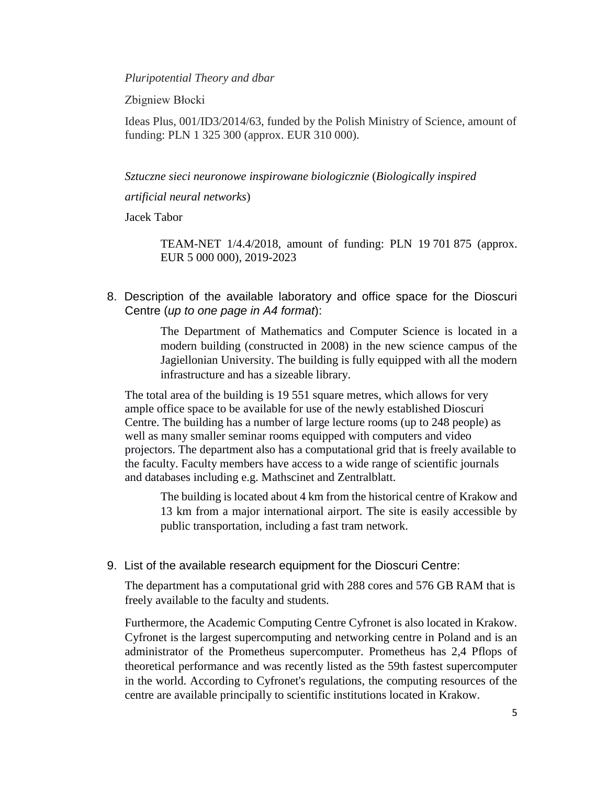*Pluripotential Theory and dbar*

Zbigniew Błocki

Ideas Plus, 001/ID3/2014/63, funded by the Polish Ministry of Science, amount of funding: PLN 1 325 300 (approx. EUR 310 000).

*Sztuczne sieci neuronowe inspirowane biologicznie* (*Biologically inspired* 

*artificial neural networks*)

Jacek Tabor

TEAM-NET 1/4.4/2018, amount of funding: PLN 19 701 875 (approx. EUR 5 000 000), 2019-2023

8. Description of the available laboratory and office space for the Dioscuri Centre (*up to one page in A4 format*):

> The Department of Mathematics and Computer Science is located in a modern building (constructed in 2008) in the new science campus of the Jagiellonian University. The building is fully equipped with all the modern infrastructure and has a sizeable library.

The total area of the building is 19 551 square metres, which allows for very ample office space to be available for use of the newly established Dioscuri Centre. The building has a number of large lecture rooms (up to 248 people) as well as many smaller seminar rooms equipped with computers and video projectors. The department also has a computational grid that is freely available to the faculty. Faculty members have access to a wide range of scientific journals and databases including e.g. Mathscinet and Zentralblatt.

The building is located about 4 km from the historical centre of Krakow and 13 km from a major international airport. The site is easily accessible by public transportation, including a fast tram network.

9. List of the available research equipment for the Dioscuri Centre:

The department has a computational grid with 288 cores and 576 GB RAM that is freely available to the faculty and students.

Furthermore, the Academic Computing Centre Cyfronet is also located in Krakow. Cyfronet is the largest supercomputing and networking centre in Poland and is an administrator of the Prometheus supercomputer. Prometheus has 2,4 Pflops of theoretical performance and was recently listed as the 59th fastest supercomputer in the world. According to Cyfronet's regulations, the computing resources of the centre are available principally to scientific institutions located in Krakow.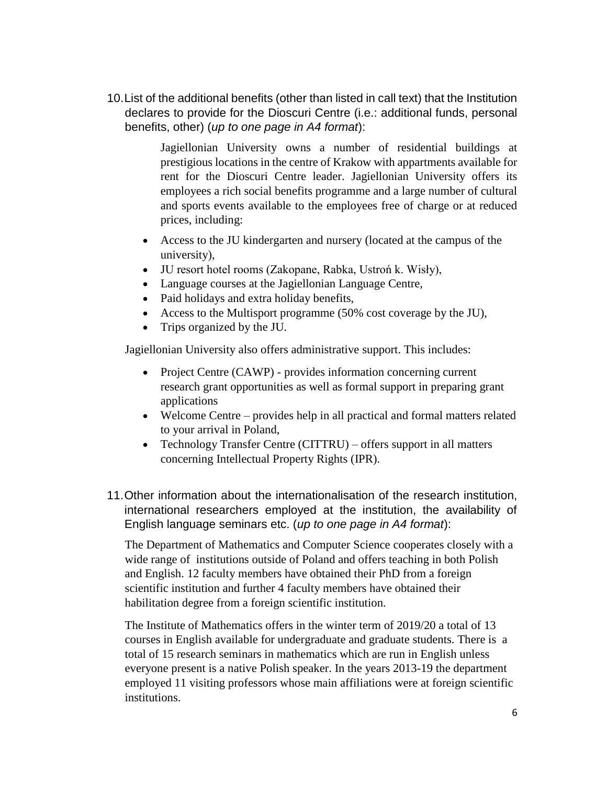10.List of the additional benefits (other than listed in call text) that the Institution declares to provide for the Dioscuri Centre (i.e.: additional funds, personal benefits, other) (*up to one page in A4 format*):

> Jagiellonian University owns a number of residential buildings at prestigious locations in the centre of Krakow with appartments available for rent for the Dioscuri Centre leader. Jagiellonian University offers its employees a rich social benefits programme and a large number of cultural and sports events available to the employees free of charge or at reduced prices, including:

- Access to the JU kindergarten and nursery (located at the campus of the university),
- JU resort hotel rooms (Zakopane, Rabka, Ustroń k. Wisły),
- Language courses at the Jagiellonian Language Centre,
- Paid holidays and extra holiday benefits,
- Access to the Multisport programme (50% cost coverage by the JU),
- Trips organized by the JU.

Jagiellonian University also offers administrative support. This includes:

- Project Centre (CAWP) provides information concerning current research grant opportunities as well as formal support in preparing grant applications
- Welcome Centre provides help in all practical and formal matters related to your arrival in Poland,
- Technology Transfer Centre (CITTRU) offers support in all matters concerning Intellectual Property Rights (IPR).
- 11.Other information about the internationalisation of the research institution, international researchers employed at the institution, the availability of English language seminars etc. (*up to one page in A4 format*):

The Department of Mathematics and Computer Science cooperates closely with a wide range of institutions outside of Poland and offers teaching in both Polish and English. 12 faculty members have obtained their PhD from a foreign scientific institution and further 4 faculty members have obtained their habilitation degree from a foreign scientific institution.

The Institute of Mathematics offers in the winter term of 2019/20 a total of 13 courses in English available for undergraduate and graduate students. There is a total of 15 research seminars in mathematics which are run in English unless everyone present is a native Polish speaker. In the years 2013-19 the department employed 11 visiting professors whose main affiliations were at foreign scientific institutions.